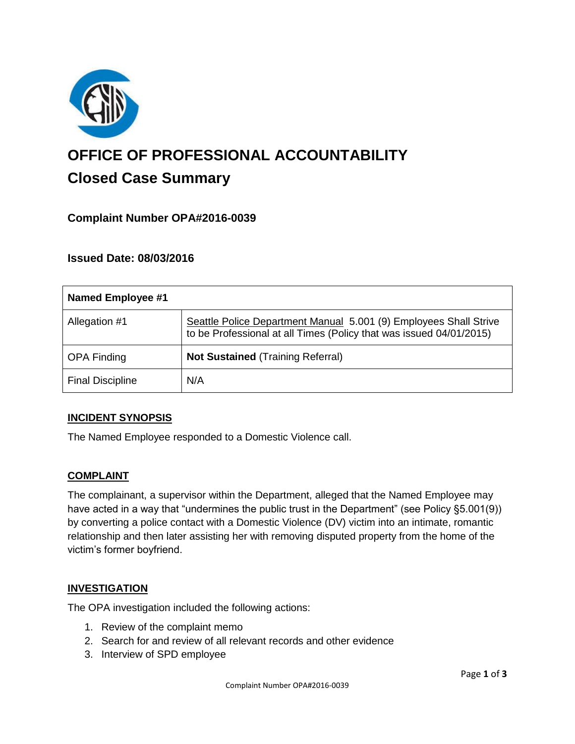

# **OFFICE OF PROFESSIONAL ACCOUNTABILITY Closed Case Summary**

# **Complaint Number OPA#2016-0039**

## **Issued Date: 08/03/2016**

| <b>Named Employee #1</b> |                                                                                                                                          |
|--------------------------|------------------------------------------------------------------------------------------------------------------------------------------|
| Allegation #1            | Seattle Police Department Manual 5.001 (9) Employees Shall Strive<br>to be Professional at all Times (Policy that was issued 04/01/2015) |
| <b>OPA Finding</b>       | <b>Not Sustained (Training Referral)</b>                                                                                                 |
| <b>Final Discipline</b>  | N/A                                                                                                                                      |

## **INCIDENT SYNOPSIS**

The Named Employee responded to a Domestic Violence call.

## **COMPLAINT**

The complainant, a supervisor within the Department, alleged that the Named Employee may have acted in a way that "undermines the public trust in the Department" (see Policy §5.001(9)) by converting a police contact with a Domestic Violence (DV) victim into an intimate, romantic relationship and then later assisting her with removing disputed property from the home of the victim's former boyfriend.

#### **INVESTIGATION**

The OPA investigation included the following actions:

- 1. Review of the complaint memo
- 2. Search for and review of all relevant records and other evidence
- 3. Interview of SPD employee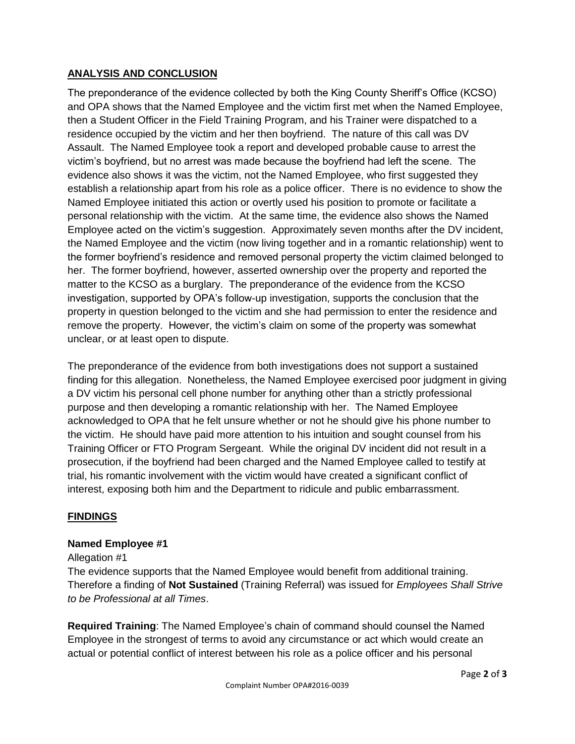# **ANALYSIS AND CONCLUSION**

The preponderance of the evidence collected by both the King County Sheriff's Office (KCSO) and OPA shows that the Named Employee and the victim first met when the Named Employee, then a Student Officer in the Field Training Program, and his Trainer were dispatched to a residence occupied by the victim and her then boyfriend. The nature of this call was DV Assault. The Named Employee took a report and developed probable cause to arrest the victim's boyfriend, but no arrest was made because the boyfriend had left the scene. The evidence also shows it was the victim, not the Named Employee, who first suggested they establish a relationship apart from his role as a police officer. There is no evidence to show the Named Employee initiated this action or overtly used his position to promote or facilitate a personal relationship with the victim. At the same time, the evidence also shows the Named Employee acted on the victim's suggestion. Approximately seven months after the DV incident, the Named Employee and the victim (now living together and in a romantic relationship) went to the former boyfriend's residence and removed personal property the victim claimed belonged to her. The former boyfriend, however, asserted ownership over the property and reported the matter to the KCSO as a burglary. The preponderance of the evidence from the KCSO investigation, supported by OPA's follow-up investigation, supports the conclusion that the property in question belonged to the victim and she had permission to enter the residence and remove the property. However, the victim's claim on some of the property was somewhat unclear, or at least open to dispute.

The preponderance of the evidence from both investigations does not support a sustained finding for this allegation. Nonetheless, the Named Employee exercised poor judgment in giving a DV victim his personal cell phone number for anything other than a strictly professional purpose and then developing a romantic relationship with her. The Named Employee acknowledged to OPA that he felt unsure whether or not he should give his phone number to the victim. He should have paid more attention to his intuition and sought counsel from his Training Officer or FTO Program Sergeant. While the original DV incident did not result in a prosecution, if the boyfriend had been charged and the Named Employee called to testify at trial, his romantic involvement with the victim would have created a significant conflict of interest, exposing both him and the Department to ridicule and public embarrassment.

# **FINDINGS**

## **Named Employee #1**

## Allegation #1

The evidence supports that the Named Employee would benefit from additional training. Therefore a finding of **Not Sustained** (Training Referral) was issued for *Employees Shall Strive to be Professional at all Times*.

**Required Training**: The Named Employee's chain of command should counsel the Named Employee in the strongest of terms to avoid any circumstance or act which would create an actual or potential conflict of interest between his role as a police officer and his personal